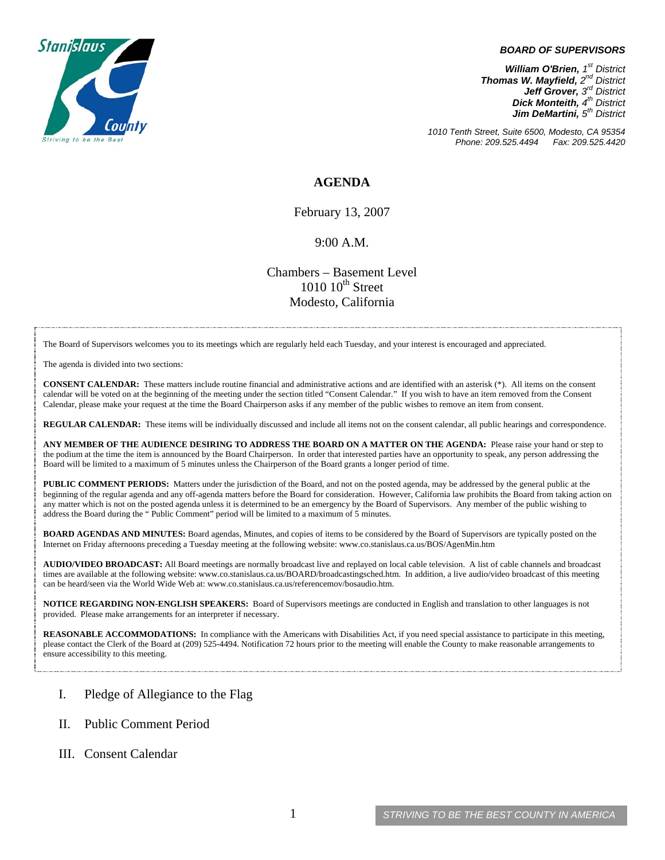

## *BOARD OF SUPERVISORS*

*William O'Brien, 1<sup>st</sup> District Thomas W. Mayfield, 2nd District Jeff Grover, 3rd District Dick Monteith, 4<sup>th</sup> District Jim DeMartini,*  $5^{th}$  District

*1010 Tenth Street, Suite 6500, Modesto, CA 95354 Phone: 209.525.4494 Fax: 209.525.4420*

## **AGENDA**

February 13, 2007

## 9:00 A.M.

Chambers – Basement Level  $1010~10<sup>th</sup>$  Street Modesto, California

The Board of Supervisors welcomes you to its meetings which are regularly held each Tuesday, and your interest is encouraged and appreciated.

The agenda is divided into two sections:

**CONSENT CALENDAR:** These matters include routine financial and administrative actions and are identified with an asterisk (\*). All items on the consent calendar will be voted on at the beginning of the meeting under the section titled "Consent Calendar." If you wish to have an item removed from the Consent Calendar, please make your request at the time the Board Chairperson asks if any member of the public wishes to remove an item from consent.

**REGULAR CALENDAR:** These items will be individually discussed and include all items not on the consent calendar, all public hearings and correspondence.

**ANY MEMBER OF THE AUDIENCE DESIRING TO ADDRESS THE BOARD ON A MATTER ON THE AGENDA:** Please raise your hand or step to the podium at the time the item is announced by the Board Chairperson. In order that interested parties have an opportunity to speak, any person addressing the Board will be limited to a maximum of 5 minutes unless the Chairperson of the Board grants a longer period of time.

**PUBLIC COMMENT PERIODS:** Matters under the jurisdiction of the Board, and not on the posted agenda, may be addressed by the general public at the beginning of the regular agenda and any off-agenda matters before the Board for consideration. However, California law prohibits the Board from taking action on any matter which is not on the posted agenda unless it is determined to be an emergency by the Board of Supervisors. Any member of the public wishing to address the Board during the " Public Comment" period will be limited to a maximum of 5 minutes.

**BOARD AGENDAS AND MINUTES:** Board agendas, Minutes, and copies of items to be considered by the Board of Supervisors are typically posted on the Internet on Friday afternoons preceding a Tuesday meeting at the following website: [www.co.stanislaus.ca.us/BOS/AgenMin.htm](http://www.co.stanislaus.ca.us/BOS/AgenMin.htm) 

**AUDIO/VIDEO BROADCAST:** All Board meetings are normally broadcast live and replayed on local cable television. A list of cable channels and broadcast times are available at the following website: [www.co.stanislaus.ca.us/BOARD/broadcastingsched.htm](http://www.co.stanislaus.ca.us/BOARD/broadcastingsched.htm). In addition, a live audio/video broadcast of this meeting can be heard/seen via the World Wide Web at: [www.co.stanislaus.ca.us/referencemov/bosaudio.htm.](http://www.co.stanislaus.ca.us/referencemov/bosaudio.htm)

**NOTICE REGARDING NON-ENGLISH SPEAKERS:** Board of Supervisors meetings are conducted in English and translation to other languages is not provided. Please make arrangements for an interpreter if necessary.

**REASONABLE ACCOMMODATIONS:** In compliance with the Americans with Disabilities Act, if you need special assistance to participate in this meeting, please contact the Clerk of the Board at (209) 525-4494. Notification 72 hours prior to the meeting will enable the County to make reasonable arrangements to ensure accessibility to this meeting.

- I. Pledge of Allegiance to the Flag
- II. Public Comment Period
- III. Consent Calendar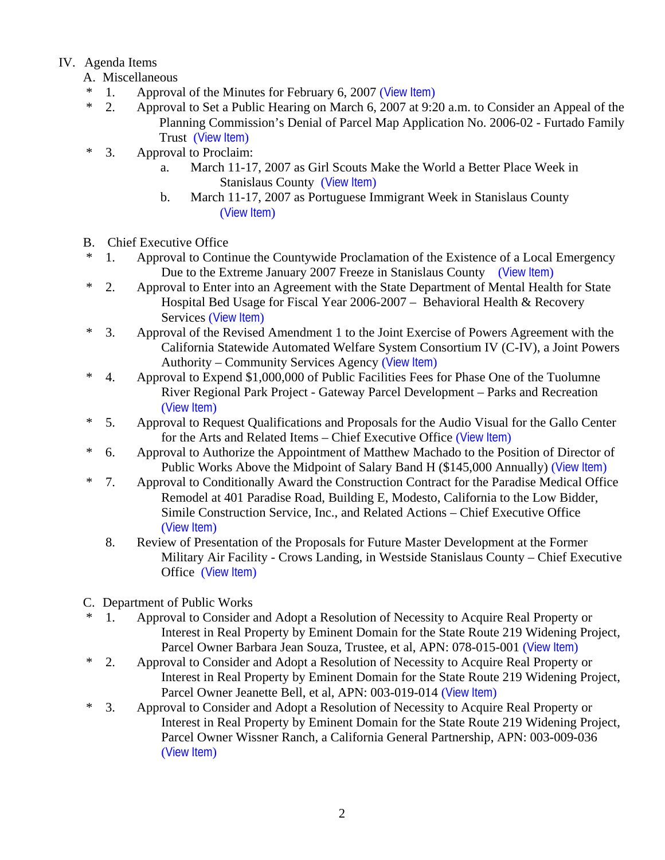## IV. Agenda Items

- A. Miscellaneous
- \* 1. Approval of the Minutes for February 6, 2007 ([View Item](http://www.co.stanislaus.ca.us/BOS/MINUTES/2007/min02-06-07.pdf))
- \* 2. Approval to Set a Public Hearing on March 6, 2007 at 9:20 a.m. to Consider an Appeal of the Planning Commission's Denial of Parcel Map Application No. 2006-02 - Furtado Family Trust ([View Item](http://www.co.stanislaus.ca.us/BOS/Agenda/2007/20070213/A02.pdf))
- \* 3. Approval to Proclaim:
	- a. March 11-17, 2007 as Girl Scouts Make the World a Better Place Week in Stanislaus County ([View Item](http://www.co.stanislaus.ca.us/BOS/Agenda/2007/20070213/A03a.pdf))
	- b. March 11-17, 2007 as Portuguese Immigrant Week in Stanislaus County ([View Item](http://www.co.stanislaus.ca.us/BOS/Agenda/2007/20070213/A03b.pdf))
- B. Chief Executive Office
- \* 1. Approval to Continue the Countywide Proclamation of the Existence of a Local Emergency Due to the Extreme January 2007 Freeze in Stanislaus County ([View Item](http://www.co.stanislaus.ca.us/BOS/Agenda/2007/20070213/B01.pdf))
- \* 2. Approval to Enter into an Agreement with the State Department of Mental Health for State Hospital Bed Usage for Fiscal Year 2006-2007 – Behavioral Health & Recovery Services ([View Item](http://www.co.stanislaus.ca.us/BOS/Agenda/2007/20070213/B02.pdf))
- \* 3. Approval of the Revised Amendment 1 to the Joint Exercise of Powers Agreement with the California Statewide Automated Welfare System Consortium IV (C-IV), a Joint Powers Authority – Community Services Agency ([View Item](http://www.co.stanislaus.ca.us/BOS/Agenda/2007/20070213/B03.pdf))
- \* 4. Approval to Expend \$1,000,000 of Public Facilities Fees for Phase One of the Tuolumne River Regional Park Project - Gateway Parcel Development – Parks and Recreation ([View Item](http://www.co.stanislaus.ca.us/BOS/Agenda/2007/20070213/B04.pdf))
- \* 5. Approval to Request Qualifications and Proposals for the Audio Visual for the Gallo Center for the Arts and Related Items – Chief Executive Office ([View Item](http://www.co.stanislaus.ca.us/BOS/Agenda/2007/20070213/B05.pdf))
- \* 6. Approval to Authorize the Appointment of Matthew Machado to the Position of Director of Public Works Above the Midpoint of Salary Band H (\$145,000 Annually) ([View Item](http://www.co.stanislaus.ca.us/BOS/Agenda/2007/20070213/B06.pdf))
- \* 7. Approval to Conditionally Award the Construction Contract for the Paradise Medical Office Remodel at 401 Paradise Road, Building E, Modesto, California to the Low Bidder, Simile Construction Service, Inc., and Related Actions – Chief Executive Office ([View Item](http://www.co.stanislaus.ca.us/BOS/Agenda/2007/20070213/B07.pdf))
	- 8. Review of Presentation of the Proposals for Future Master Development at the Former Military Air Facility - Crows Landing, in Westside Stanislaus County – Chief Executive Office ([View Item](http://www.co.stanislaus.ca.us/BOS/Agenda/2007/20070213/B08.pdf))
- C. Department of Public Works
- \* 1. Approval to Consider and Adopt a Resolution of Necessity to Acquire Real Property or Interest in Real Property by Eminent Domain for the State Route 219 Widening Project, Parcel Owner Barbara Jean Souza, Trustee, et al, APN: 078-015-001 ([View Item](http://www.co.stanislaus.ca.us/BOS/Agenda/2007/20070213/C01.pdf))
- \* 2. Approval to Consider and Adopt a Resolution of Necessity to Acquire Real Property or Interest in Real Property by Eminent Domain for the State Route 219 Widening Project, Parcel Owner Jeanette Bell, et al, APN: 003-019-014 ([View Item](http://www.co.stanislaus.ca.us/BOS/Agenda/2007/20070213/C02.pdf))
- \* 3. Approval to Consider and Adopt a Resolution of Necessity to Acquire Real Property or Interest in Real Property by Eminent Domain for the State Route 219 Widening Project, Parcel Owner Wissner Ranch, a California General Partnership, APN: 003-009-036 ([View Item](http://www.co.stanislaus.ca.us/BOS/Agenda/2007/20070213/C03.pdf))